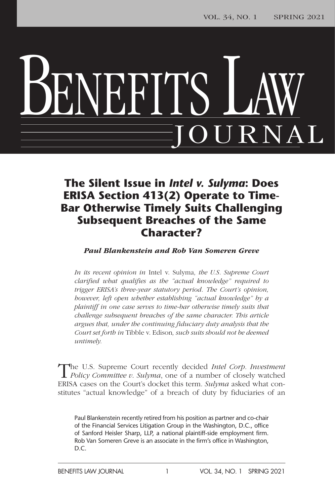# BENEFITS LAW JOURNAL

### **The Silent Issue in** *Intel v. Sulyma***: Does ERISA Section 413(2) Operate to Time-Bar Otherwise Timely Suits Challenging Subsequent Breaches of the Same Character?**

*Paul Blankenstein and Rob Van Someren Greve*

*In its recent opinion in* Intel v. Sulyma*, the U.S. Supreme Court clarified what qualifies as the "actual knowledge" required to trigger ERISA's three-year statutory period. The Court's opinion, however, left open whether establishing "actual knowledge" by a plaintiff in one case serves to time-bar otherwise timely suits that challenge subsequent breaches of the same character. This article argues that, under the continuing fiduciary duty analysis that the Court set forth in* Tibble v. Edison*, such suits should not be deemed untimely.*

The U.S. Supreme Court recently decided *Intel Corp. Investment Policy Committee v*. *Sulyma*, one of a number of closely watched ERISA cases on the Court's docket this term*. Sulyma* asked what constitutes "actual knowledge" of a breach of duty by fiduciaries of an

Paul Blankenstein recently retired from his position as partner and co-chair of the Financial Services Litigation Group in the Washington, D.C., office of Sanford Heisler Sharp, LLP, a national plaintiff-side employment firm. Rob Van Someren Greve is an associate in the firm's office in Washington, D.C.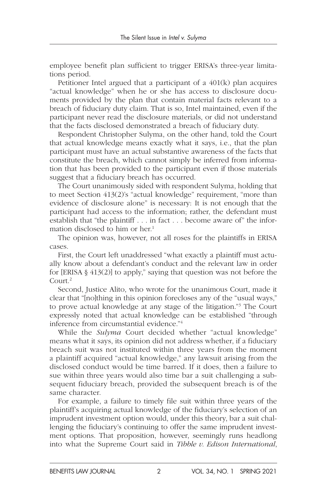employee benefit plan sufficient to trigger ERISA's three-year limitations period.

Petitioner Intel argued that a participant of a 401(k) plan acquires "actual knowledge" when he or she has access to disclosure documents provided by the plan that contain material facts relevant to a breach of fiduciary duty claim. That is so, Intel maintained, even if the participant never read the disclosure materials, or did not understand that the facts disclosed demonstrated a breach of fiduciary duty.

Respondent Christopher Sulyma, on the other hand, told the Court that actual knowledge means exactly what it says, i.e., that the plan participant must have an actual substantive awareness of the facts that constitute the breach, which cannot simply be inferred from information that has been provided to the participant even if those materials suggest that a fiduciary breach has occurred.

The Court unanimously sided with respondent Sulyma, holding that to meet Section 413(2)'s "actual knowledge" requirement, "more than evidence of disclosure alone" is necessary: It is not enough that the participant had access to the information; rather, the defendant must establish that "the plaintiff . . . in fact . . . become aware of" the information disclosed to him or her.<sup>1</sup>

The opinion was, however, not all roses for the plaintiffs in ERISA cases.

First, the Court left unaddressed "what exactly a plaintiff must actually know about a defendant's conduct and the relevant law in order for [ERISA § 413(2)] to apply," saying that question was not before the Court.2

Second, Justice Alito, who wrote for the unanimous Court, made it clear that "[no]thing in this opinion forecloses any of the "usual ways," to prove actual knowledge at any stage of the litigation."3 The Court expressly noted that actual knowledge can be established "through inference from circumstantial evidence."4

While the *Sulyma* Court decided whether "actual knowledge" means what it says, its opinion did not address whether, if a fiduciary breach suit was not instituted within three years from the moment a plaintiff acquired "actual knowledge," any lawsuit arising from the disclosed conduct would be time barred. If it does, then a failure to sue within three years would also time bar a suit challenging a subsequent fiduciary breach, provided the subsequent breach is of the same character.

For example, a failure to timely file suit within three years of the plaintiff's acquiring actual knowledge of the fiduciary's selection of an imprudent investment option would, under this theory, bar a suit challenging the fiduciary's continuing to offer the same imprudent investment options. That proposition, however, seemingly runs headlong into what the Supreme Court said in *Tibble v. Edison International*,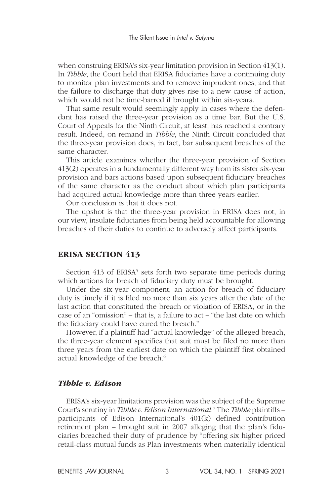when construing ERISA's six-year limitation provision in Section 413(1). In *Tibble*, the Court held that ERISA fiduciaries have a continuing duty to monitor plan investments and to remove imprudent ones, and that the failure to discharge that duty gives rise to a new cause of action, which would not be time-barred if brought within six-years.

That same result would seemingly apply in cases where the defendant has raised the three-year provision as a time bar. But the U.S. Court of Appeals for the Ninth Circuit, at least, has reached a contrary result. Indeed, on remand in *Tibble*, the Ninth Circuit concluded that the three-year provision does, in fact, bar subsequent breaches of the same character.

This article examines whether the three-year provision of Section 413(2) operates in a fundamentally different way from its sister six-year provision and bars actions based upon subsequent fiduciary breaches of the same character as the conduct about which plan participants had acquired actual knowledge more than three years earlier.

Our conclusion is that it does not.

The upshot is that the three-year provision in ERISA does not, in our view, insulate fiduciaries from being held accountable for allowing breaches of their duties to continue to adversely affect participants.

#### ERISA SECTION 413

Section 413 of ERISA<sup>5</sup> sets forth two separate time periods during which actions for breach of fiduciary duty must be brought.

Under the six-year component, an action for breach of fiduciary duty is timely if it is filed no more than six years after the date of the last action that constituted the breach or violation of ERISA, or in the case of an "omission" – that is, a failure to act – "the last date on which the fiduciary could have cured the breach."

However, if a plaintiff had "actual knowledge" of the alleged breach, the three-year clement specifies that suit must be filed no more than three years from the earliest date on which the plaintiff first obtained actual knowledge of the breach.<sup>6</sup>

#### *Tibble v. Edison*

ERISA's six-year limitations provision was the subject of the Supreme Court's scrutiny in *Tibble v. Edison International*.<sup>7</sup> The *Tibble* plaintiffs participants of Edison International's 401(k) defined contribution retirement plan – brought suit in 2007 alleging that the plan's fiduciaries breached their duty of prudence by "offering six higher priced retail-class mutual funds as Plan investments when materially identical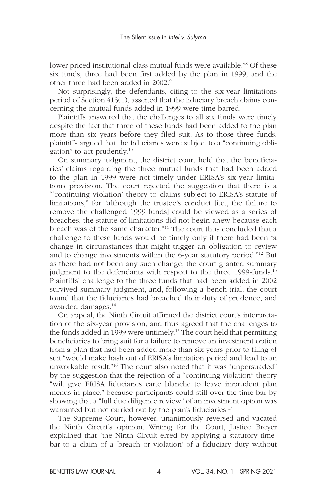lower priced institutional-class mutual funds were available."<sup>8</sup> Of these six funds, three had been first added by the plan in 1999, and the other three had been added in 2002.9

Not surprisingly, the defendants, citing to the six-year limitations period of Section 413(1), asserted that the fiduciary breach claims concerning the mutual funds added in 1999 were time-barred.

Plaintiffs answered that the challenges to all six funds were timely despite the fact that three of these funds had been added to the plan more than six years before they filed suit. As to those three funds, plaintiffs argued that the fiduciaries were subject to a "continuing obligation" to act prudently.10

On summary judgment, the district court held that the beneficiaries' claims regarding the three mutual funds that had been added to the plan in 1999 were not timely under ERISA's six-year limitations provision. The court rejected the suggestion that there is a "'continuing violation' theory to claims subject to ERISA's statute of limitations," for "although the trustee's conduct [i.e., the failure to remove the challenged 1999 funds] could be viewed as a series of breaches, the statute of limitations did not begin anew because each breach was of the same character."11 The court thus concluded that a challenge to these funds would be timely only if there had been "a change in circumstances that might trigger an obligation to review and to change investments within the 6-year statutory period."12 But as there had not been any such change, the court granted summary judgment to the defendants with respect to the three 1999-funds.<sup>13</sup> Plaintiffs' challenge to the three funds that had been added in 2002 survived summary judgment, and, following a bench trial, the court found that the fiduciaries had breached their duty of prudence, and awarded damages.14

On appeal, the Ninth Circuit affirmed the district court's interpretation of the six-year provision, and thus agreed that the challenges to the funds added in 1999 were untimely.15 The court held that permitting beneficiaries to bring suit for a failure to remove an investment option from a plan that had been added more than six years prior to filing of suit "would make hash out of ERISA's limitation period and lead to an unworkable result."16 The court also noted that it was "unpersuaded" by the suggestion that the rejection of a "continuing violation" theory "will give ERISA fiduciaries carte blanche to leave imprudent plan menus in place," because participants could still over the time-bar by showing that a "full due diligence review" of an investment option was warranted but not carried out by the plan's fiduciaries.<sup>17</sup>

The Supreme Court, however, unanimously reversed and vacated the Ninth Circuit's opinion. Writing for the Court, Justice Breyer explained that "the Ninth Circuit erred by applying a statutory timebar to a claim of a 'breach or violation' of a fiduciary duty without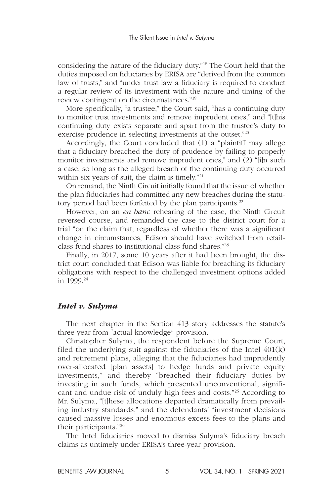considering the nature of the fiduciary duty."18 The Court held that the duties imposed on fiduciaries by ERISA are "derived from the common law of trusts," and "under trust law a fiduciary is required to conduct a regular review of its investment with the nature and timing of the review contingent on the circumstances."19

More specifically, "a trustee," the Court said, "has a continuing duty to monitor trust investments and remove imprudent ones," and "[t]his continuing duty exists separate and apart from the trustee's duty to exercise prudence in selecting investments at the outset."20

Accordingly, the Court concluded that (1) a "plaintiff may allege that a fiduciary breached the duty of prudence by failing to properly monitor investments and remove imprudent ones," and (2) "[i]n such a case, so long as the alleged breach of the continuing duty occurred within six years of suit, the claim is timely."<sup>21</sup>

On remand, the Ninth Circuit initially found that the issue of whether the plan fiduciaries had committed any new breaches during the statutory period had been forfeited by the plan participants.<sup>22</sup>

However, on an *en banc* rehearing of the case, the Ninth Circuit reversed course, and remanded the case to the district court for a trial "on the claim that, regardless of whether there was a significant change in circumstances, Edison should have switched from retailclass fund shares to institutional-class fund shares."23

Finally, in 2017, some 10 years after it had been brought, the district court concluded that Edison was liable for breaching its fiduciary obligations with respect to the challenged investment options added in 1999.24

#### *Intel v. Sulyma*

The next chapter in the Section 413 story addresses the statute's three-year from "actual knowledge" provision.

Christopher Sulyma, the respondent before the Supreme Court, filed the underlying suit against the fiduciaries of the Intel 401(k) and retirement plans, alleging that the fiduciaries had imprudently over-allocated [plan assets] to hedge funds and private equity investments," and thereby "breached their fiduciary duties by investing in such funds, which presented unconventional, significant and undue risk of unduly high fees and costs."25 According to Mr. Sulyma, "[t]hese allocations departed dramatically from prevailing industry standards," and the defendants' "investment decisions caused massive losses and enormous excess fees to the plans and their participants."26

The Intel fiduciaries moved to dismiss Sulyma's fiduciary breach claims as untimely under ERISA's three-year provision.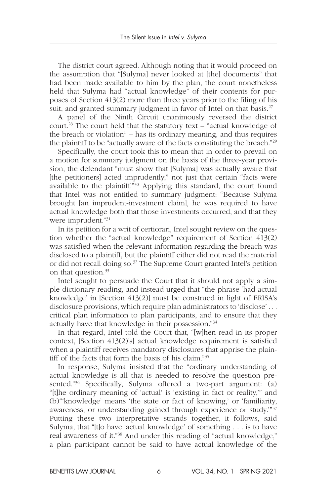The district court agreed. Although noting that it would proceed on the assumption that "[Sulyma] never looked at [the] documents" that had been made available to him by the plan, the court nonetheless held that Sulyma had "actual knowledge" of their contents for purposes of Section 413(2) more than three years prior to the filing of his suit, and granted summary judgment in favor of Intel on that basis.<sup>27</sup>

A panel of the Ninth Circuit unanimously reversed the district court.28 The court held that the statutory text – "actual knowledge of the breach or violation" – has its ordinary meaning, and thus requires the plaintiff to be "actually aware of the facts constituting the breach."29

Specifically, the court took this to mean that in order to prevail on a motion for summary judgment on the basis of the three-year provision, the defendant "must show that [Sulyma] was actually aware that [the petitioners] acted imprudently," not just that certain "facts were available to the plaintiff."30 Applying this standard, the court found that Intel was not entitled to summary judgment: "Because Sulyma brought [an imprudent-investment claim], he was required to have actual knowledge both that those investments occurred, and that they were imprudent."31

In its petition for a writ of certiorari, Intel sought review on the question whether the "actual knowledge" requirement of Section 413(2) was satisfied when the relevant information regarding the breach was disclosed to a plaintiff, but the plaintiff either did not read the material or did not recall doing so.32 The Supreme Court granted Intel's petition on that question.33

Intel sought to persuade the Court that it should not apply a simple dictionary reading, and instead urged that "the phrase 'had actual knowledge' in [Section 413(2)] must be construed in light of ERISA's disclosure provisions, which require plan administrators to 'disclose' . . . critical plan information to plan participants, and to ensure that they actually have that knowledge in their possession."34

In that regard, Intel told the Court that, "[w]hen read in its proper context, [Section 413(2)'s] actual knowledge requirement is satisfied when a plaintiff receives mandatory disclosures that apprise the plaintiff of the facts that form the basis of his claim."35

In response, Sulyma insisted that the "ordinary understanding of actual knowledge is all that is needed to resolve the question presented."<sup>36</sup> Specifically, Sulyma offered a two-part argument: (a) "[t]he ordinary meaning of 'actual' is 'existing in fact or reality,'" and (b)"'knowledge' means 'the state or fact of knowing,' or 'familiarity, awareness, or understanding gained through experience or study.'"37 Putting these two interpretative strands together, it follows, said Sulyma, that "[t]o have 'actual knowledge' of something . . . is to have real awareness of it."38 And under this reading of "actual knowledge," a plan participant cannot be said to have actual knowledge of the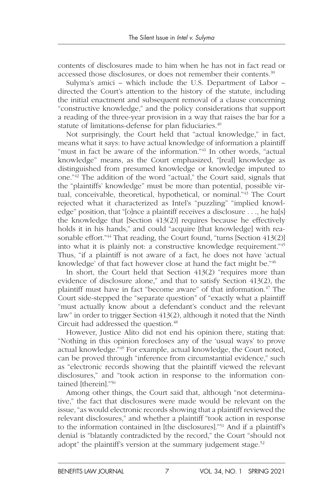contents of disclosures made to him when he has not in fact read or accessed those disclosures, or does not remember their contents.<sup>39</sup>

Sulyma's amici – which include the U.S. Department of Labor – directed the Court's attention to the history of the statute, including the initial enactment and subsequent removal of a clause concerning "constructive knowledge," and the policy considerations that support a reading of the three-year provision in a way that raises the bar for a statute of limitations-defense for plan fiduciaries.<sup>40</sup>

Not surprisingly, the Court held that "actual knowledge," in fact, means what it says: to have actual knowledge of information a plaintiff "must in fact be aware of the information."<sup>41</sup> In other words, "actual knowledge" means, as the Court emphasized, "[real] knowledge as distinguished from presumed knowledge or knowledge imputed to one."42 The addition of the word "actual," the Court said, signals that the "plaintiffs' knowledge" must be more than potential, possible virtual, conceivable, theoretical, hypothetical, or nominal."43 The Court rejected what it characterized as Intel's "puzzling" "implied knowledge" position, that "[o]nce a plaintiff receives a disclosure . . ., he ha[s] the knowledge that [Section 413(2)] requires because he effectively holds it in his hands," and could "acquire [that knowledge] with reasonable effort."<sup>44</sup> That reading, the Court found, "turns [Section 413(2)] into what it is plainly not: a constructive knowledge requirement."45 Thus, "if a plaintiff is not aware of a fact, he does not have 'actual knowledge' of that fact however close at hand the fact might be."46

In short, the Court held that Section 413(2) "requires more than evidence of disclosure alone," and that to satisfy Section 413(2), the plaintiff must have in fact "become aware" of that information.<sup>47</sup> The Court side-stepped the "separate question" of "exactly what a plaintiff "must actually know about a defendant's conduct and the relevant law" in order to trigger Section 413(2), although it noted that the Ninth Circuit had addressed the question.<sup>48</sup>

However, Justice Alito did not end his opinion there, stating that: "Nothing in this opinion forecloses any of the 'usual ways' to prove actual knowledge."49 For example, actual knowledge, the Court noted, can be proved through "inference from circumstantial evidence," such as "electronic records showing that the plaintiff viewed the relevant disclosures," and "took action in response to the information contained [therein]."<sup>50</sup>

Among other things, the Court said that, although "not determinative," the fact that disclosures were made would be relevant on the issue, "as would electronic records showing that a plaintiff reviewed the relevant disclosures," and whether a plaintiff "took action in response to the information contained in [the disclosures]."51 And if a plaintiff's denial is "blatantly contradicted by the record," the Court "should not adopt" the plaintiff's version at the summary judgement stage.<sup>52</sup>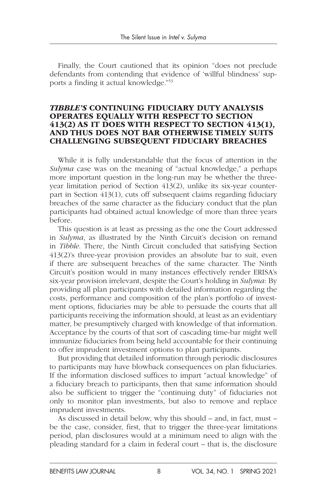Finally, the Court cautioned that its opinion "does not preclude defendants from contending that evidence of 'willful blindness' supports a finding it actual knowledge."53

#### *TIBBLE'S* CONTINUING FIDUCIARY DUTY ANALYSIS OPERATES EQUALLY WITH RESPECT TO SECTION 413(2) AS IT DOES WITH RESPECT TO SECTION 413(1), AND THUS DOES NOT BAR OTHERWISE TIMELY SUITS CHALLENGING SUBSEQUENT FIDUCIARY BREACHES

While it is fully understandable that the focus of attention in the *Sulyma* case was on the meaning of "actual knowledge," a perhaps more important question in the long-run may be whether the threeyear limitation period of Section 413(2), unlike its six-year counterpart in Section 413(1), cuts off subsequent claims regarding fiduciary breaches of the same character as the fiduciary conduct that the plan participants had obtained actual knowledge of more than three years before.

This question is at least as pressing as the one the Court addressed in *Sulyma*, as illustrated by the Ninth Circuit's decision on remand in *Tibble*. There, the Ninth Circuit concluded that satisfying Section 413(2)'s three-year provision provides an absolute bar to suit, even if there are subsequent breaches of the same character. The Ninth Circuit's position would in many instances effectively render ERISA's six-year provision irrelevant, despite the Court's holding in *Sulyma*: By providing all plan participants with detailed information regarding the costs, performance and composition of the plan's portfolio of investment options, fiduciaries may be able to persuade the courts that all participants receiving the information should, at least as an evidentiary matter, be presumptively charged with knowledge of that information. Acceptance by the courts of that sort of cascading time-bar might well immunize fiduciaries from being held accountable for their continuing to offer imprudent investment options to plan participants.

But providing that detailed information through periodic disclosures to participants may have blowback consequences on plan fiduciaries. If the information disclosed suffices to impart "actual knowledge" of a fiduciary breach to participants, then that same information should also be sufficient to trigger the "continuing duty" of fiduciaries not only to monitor plan investments, but also to remove and replace imprudent investments.

As discussed in detail below, why this should – and, in fact, must – be the case, consider, first, that to trigger the three-year limitations period, plan disclosures would at a minimum need to align with the pleading standard for a claim in federal court – that is, the disclosure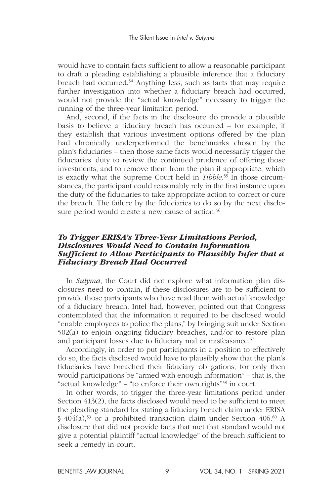would have to contain facts sufficient to allow a reasonable participant to draft a pleading establishing a plausible inference that a fiduciary breach had occurred.<sup>54</sup> Anything less, such as facts that may require further investigation into whether a fiduciary breach had occurred, would not provide the "actual knowledge" necessary to trigger the running of the three-year limitation period.

And, second, if the facts in the disclosure do provide a plausible basis to believe a fiduciary breach has occurred – for example, if they establish that various investment options offered by the plan had chronically underperformed the benchmarks chosen by the plan's fiduciaries – then those same facts would necessarily trigger the fiduciaries' duty to review the continued prudence of offering those investments, and to remove them from the plan if appropriate, which is exactly what the Supreme Court held in *Tibble*. 55 In those circumstances, the participant could reasonably rely in the first instance upon the duty of the fiduciaries to take appropriate action to correct or cure the breach. The failure by the fiduciaries to do so by the next disclosure period would create a new cause of action.<sup>56</sup>

#### *To Trigger ERISA's Three-Year Limitations Period, Disclosures Would Need to Contain Information Sufficient to Allow Participants to Plausibly Infer that a Fiduciary Breach Had Occurred*

In *Sulyma*, the Court did not explore what information plan disclosures need to contain, if these disclosures are to be sufficient to provide those participants who have read them with actual knowledge of a fiduciary breach. Intel had, however, pointed out that Congress contemplated that the information it required to be disclosed would "enable employees to police the plans," by bringing suit under Section 502(a) to enjoin ongoing fiduciary breaches, and/or to restore plan and participant losses due to fiduciary mal or misfeasance.<sup>57</sup>

Accordingly, in order to put participants in a position to effectively do so, the facts disclosed would have to plausibly show that the plan's fiduciaries have breached their fiduciary obligations, for only then would participations be "armed with enough information" – that is, the "actual knowledge" – "to enforce their own rights"58 in court.

In other words, to trigger the three-year limitations period under Section 413(2), the facts disclosed would need to be sufficient to meet the pleading standard for stating a fiduciary breach claim under ERISA  $§$  404(a),<sup>59</sup> or a prohibited transaction claim under Section 406.<sup>60</sup> A disclosure that did not provide facts that met that standard would not give a potential plaintiff "actual knowledge" of the breach sufficient to seek a remedy in court.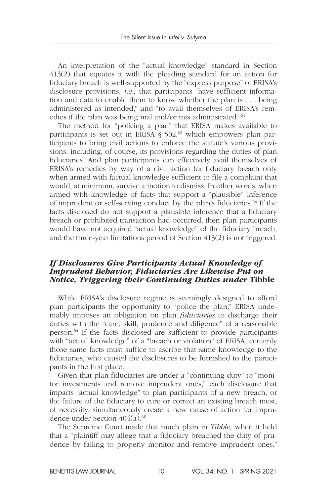An interpretation of the "actual knowledge" standard in Section 413(2) that equates it with the pleading standard for an action for fiduciary breach is well-supported by the "express purpose" of ERISA's disclosure provisions, *i.e.,* that participants "have sufficient information and data to enable them to know whether the plan is . . . being administered as intended," and "to avail themselves of ERISA's remedies if the plan was being mal and/or mis administrated."61

The method for "policing a plan" that ERISA makes available to participants is set out in ERISA  $\S$  502,<sup>62</sup> which empowers plan participants to bring civil actions to enforce the statute's various provisions, including, of course, its provisions regarding the duties of plan fiduciaries. And plan participants can effectively avail themselves of ERISA's remedies by way of a civil action for fiduciary breach only when armed with factual knowledge sufficient to file a complaint that would, at minimum, survive a motion to dismiss. In other words, when armed with knowledge of facts that support a "plausible" inference of imprudent or self-serving conduct by the plan's fiduciaries.<sup>63</sup> If the facts disclosed do not support a plausible inference that a fiduciary breach or prohibited transaction had occurred, then plan participants would have not acquired "actual knowledge" of the fiduciary breach, and the three-year limitations period of Section 413(2) is not triggered.

#### *If Disclosures Give Participants Actual Knowledge of Imprudent Behavior, Fiduciaries Are Likewise Put on Notice, Triggering their Continuing Duties under* Tibble

While ERISA's disclosure regime is seemingly designed to afford plan participants the opportunity to "police the plan," ERISA undeniably imposes an obligation on plan *fiduciaries* to discharge their duties with the "care, skill, prudence and diligence" of a reasonable person.64 If the facts disclosed are sufficient to provide participants with "actual knowledge" of a "breach or violation" of ERISA, certainly those same facts must suffice to ascribe that same knowledge to the fiduciaries, who caused the disclosures to be furnished to the participants in the first place.

Given that plan fiduciaries are under a "continuing duty" to "monitor investments and remove imprudent ones," each disclosure that imparts "actual knowledge" to plan participants of a new breach, or the failure of the fiduciary to cure or correct an existing breach must, of necessity, simultaneously create a new cause of action for imprudence under Section  $404(a).$ <sup>65</sup>

The Supreme Court made that much plain in *Tibble,* when it held that a "plaintiff may allege that a fiduciary breached the duty of prudence by failing to properly monitor and remove imprudent ones,"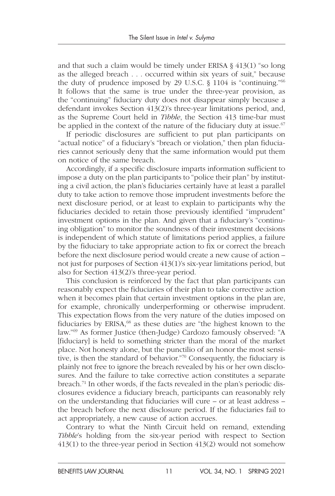and that such a claim would be timely under ERISA § 413(1) "so long as the alleged breach . . . occurred within six years of suit," because the duty of prudence imposed by 29 U.S.C. § 1104 is "continuing."66 It follows that the same is true under the three-year provision, as the "continuing" fiduciary duty does not disappear simply because a defendant invokes Section 413(2)'s three-year limitations period, and, as the Supreme Court held in *Tibble*, the Section 413 time-bar must be applied in the context of the nature of the fiduciary duty at issue.<sup>67</sup>

If periodic disclosures are sufficient to put plan participants on "actual notice" of a fiduciary's "breach or violation," then plan fiduciaries cannot seriously deny that the same information would put them on notice of the same breach.

Accordingly, if a specific disclosure imparts information sufficient to impose a duty on the plan participants to "police their plan" by instituting a civil action, the plan's fiduciaries certainly have at least a parallel duty to take action to remove those imprudent investments before the next disclosure period, or at least to explain to participants why the fiduciaries decided to retain those previously identified "imprudent" investment options in the plan. And given that a fiduciary's "continuing obligation" to monitor the soundness of their investment decisions is independent of which statute of limitations period applies, a failure by the fiduciary to take appropriate action to fix or correct the breach before the next disclosure period would create a new cause of action – not just for purposes of Section 413(1)'s six-year limitations period, but also for Section 413(2)'s three-year period.

This conclusion is reinforced by the fact that plan participants can reasonably expect the fiduciaries of their plan to take corrective action when it becomes plain that certain investment options in the plan are, for example, chronically underperforming or otherwise imprudent. This expectation flows from the very nature of the duties imposed on fiduciaries by ERISA, $68$  as these duties are "the highest known to the law."69 As former Justice (then-Judge) Cardozo famously observed: "A [fiduciary] is held to something stricter than the moral of the market place. Not honesty alone, but the punctilio of an honor the most sensitive, is then the standard of behavior."70 Consequently, the fiduciary is plainly not free to ignore the breach revealed by his or her own disclosures. And the failure to take corrective action constitutes a separate breach.71 In other words, if the facts revealed in the plan's periodic disclosures evidence a fiduciary breach, participants can reasonably rely on the understanding that fiduciaries will cure – or at least address – the breach before the next disclosure period. If the fiduciaries fail to act appropriately, a new cause of action accrues.

Contrary to what the Ninth Circuit held on remand, extending *Tibble*'s holding from the six-year period with respect to Section 413(1) to the three-year period in Section 413(2) would not somehow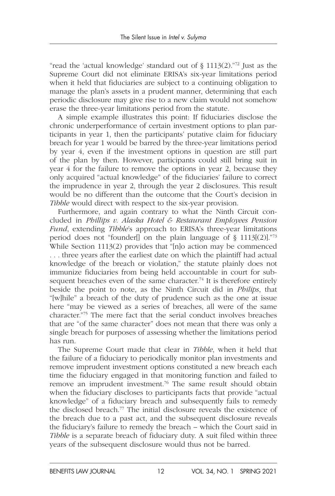"read the 'actual knowledge' standard out of  $\S 1113(2)$ ."<sup>72</sup> Just as the Supreme Court did not eliminate ERISA's six-year limitations period when it held that fiduciaries are subject to a continuing obligation to manage the plan's assets in a prudent manner, determining that each periodic disclosure may give rise to a new claim would not somehow erase the three-year limitations period from the statute.

A simple example illustrates this point: If fiduciaries disclose the chronic underperformance of certain investment options to plan participants in year 1, then the participants' putative claim for fiduciary breach for year 1 would be barred by the three-year limitations period by year 4, even if the investment options in question are still part of the plan by then. However, participants could still bring suit in year 4 for the failure to remove the options in year 2, because they only acquired "actual knowledge" of the fiduciaries' failure to correct the imprudence in year 2, through the year 2 disclosures. This result would be no different than the outcome that the Court's decision in *Tibble* would direct with respect to the six-year provision.

Furthermore, and again contrary to what the Ninth Circuit concluded in *Phillips v. Alaska Hotel & Restaurant Employees Pension Fund*, extending *Tibble*'s approach to ERISA's three-year limitations period does not "founder[] on the plain language of  $\S$  1113[(2)]."73 While Section 1113(2) provides that "[n]o action may be commenced . . . three years after the earliest date on which the plaintiff had actual knowledge of the breach or violation," the statute plainly does not immunize fiduciaries from being held accountable in court for subsequent breaches even of the same character.<sup>74</sup> It is therefore entirely beside the point to note, as the Ninth Circuit did in *Philips*, that "[w]hile" a breach of the duty of prudence such as the one at issue here "may be viewed as a series of breaches, all were of the same character."75 The mere fact that the serial conduct involves breaches that are "of the same character" does not mean that there was only a single breach for purposes of assessing whether the limitations period has run.

The Supreme Court made that clear in *Tibble*, when it held that the failure of a fiduciary to periodically monitor plan investments and remove imprudent investment options constituted a new breach each time the fiduciary engaged in that monitoring function and failed to remove an imprudent investment.76 The same result should obtain when the fiduciary discloses to participants facts that provide "actual knowledge" of a fiduciary breach and subsequently fails to remedy the disclosed breach.<sup>77</sup> The initial disclosure reveals the existence of the breach due to a past act, and the subsequent disclosure reveals the fiduciary's failure to remedy the breach – which the Court said in *Tibble* is a separate breach of fiduciary duty. A suit filed within three years of the subsequent disclosure would thus not be barred.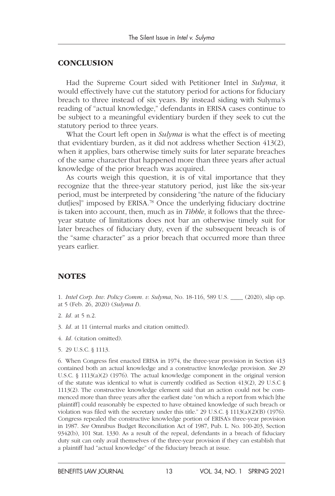#### **CONCLUSION**

Had the Supreme Court sided with Petitioner Intel in *Sulyma*, it would effectively have cut the statutory period for actions for fiduciary breach to three instead of six years. By instead siding with Sulyma's reading of "actual knowledge," defendants in ERISA cases continue to be subject to a meaningful evidentiary burden if they seek to cut the statutory period to three years.

What the Court left open in *Sulyma* is what the effect is of meeting that evidentiary burden, as it did not address whether Section 413(2), when it applies, bars otherwise timely suits for later separate breaches of the same character that happened more than three years after actual knowledge of the prior breach was acquired.

As courts weigh this question, it is of vital importance that they recognize that the three-year statutory period, just like the six-year period, must be interpreted by considering "the nature of the fiduciary dut[ies]" imposed by ERISA.<sup>78</sup> Once the underlying fiduciary doctrine is taken into account, then, much as in *Tibble*, it follows that the threeyear statute of limitations does not bar an otherwise timely suit for later breaches of fiduciary duty, even if the subsequent breach is of the "same character" as a prior breach that occurred more than three years earlier.

#### **NOTES**

- 1. *Intel Corp. Inv. Policy Comm. v. Sulyma*, No. 18-116, 589 U.S. \_\_\_\_ (2020), slip op. at 5 (Feb. 26, 2020) (*Sulyma I*).
- 2. *Id.* at 5 n.2.
- 3. *Id.* at 11 (internal marks and citation omitted).
- 4. *Id.* (citation omitted).
- 5. 29 U.S.C. § 1113.

6. When Congress first enacted ERISA in 1974, the three-year provision in Section 413 contained both an actual knowledge and a constructive knowledge provision. *See* 29 U.S.C. § 1113(a)(2) (1976). The actual knowledge component in the original version of the statute was identical to what is currently codified as Section 413(2), 29 U.S.C  $\S$ 1113(2). The constructive knowledge element said that an action could not be commenced more than three years after the earliest date "on which a report from which [the plaintiff] could reasonably be expected to have obtained knowledge of such breach or violation was filed with the secretary under this title."  $29 \text{ U.S.C. }$  §  $1113(a)(2)(B)(1976)$ . Congress repealed the constructive knowledge portion of ERISA's three-year provision in 1987. *See* Omnibus Budget Reconciliation Act of 1987, Pub. L. No. 100-203, Section 9342(b), 101 Stat. 1330. As a result of the repeal, defendants in a breach of fiduciary duty suit can only avail themselves of the three-year provision if they can establish that a plaintiff had "actual knowledge" of the fiduciary breach at issue.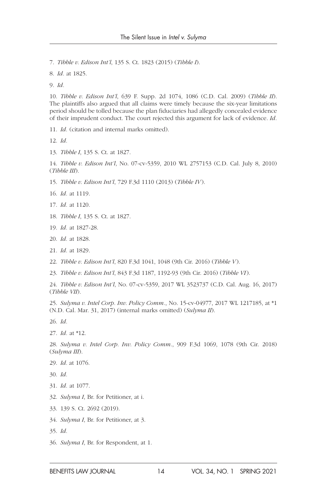7. *Tibble v. Edison Int'l*, 135 S. Ct. 1823 (2015) (*Tibble I*).

8. *Id.* at 1825.

9. *Id.*

10. *Tibble v. Edison Int'l*, 639 F. Supp. 2d 1074, 1086 (C.D. Cal. 2009) (*Tibble II*). The plaintiffs also argued that all claims were timely because the six-year limitations period should be tolled because the plan fiduciaries had allegedly concealed evidence of their imprudent conduct. The court rejected this argument for lack of evidence. *Id.*

11. *Id.* (citation and internal marks omitted).

12. *Id.*

13. *Tibble I*, 135 S. Ct. at 1827.

14. *Tibble v. Edison Int'l*, No. 07-cv-5359, 2010 WL 2757153 (C.D. Cal. July 8, 2010) (*Tibble III*).

15. *Tibble v. Edison Int'l*, 729 F.3d 1110 (2013) (*Tibble IV*).

- 16. *Id.* at 1119.
- 17. *Id.* at 1120.
- 18. *Tibble I*, 135 S. Ct. at 1827.
- 19. *Id.* at 1827-28.
- 20. *Id.* at 1828.
- 21. *Id.* at 1829.
- 22. *Tibble v. Edison Int'l*, 820 F.3d 1041, 1048 (9th Cir. 2016) (*Tibble V*).

23. *Tibble v. Edison Int'l*, 843 F.3d 1187, 1192-93 (9th Cir. 2016) (*Tibble VI*).

24. *Tibble v. Edison Int'l*, No. 07-cv-5359, 2017 WL 3523737 (C.D. Cal. Aug. 16, 2017) (*Tibble VII*).

25. *Sulyma v. Intel Corp. Inv. Policy Comm.*, No. 15-cv-04977, 2017 WL 1217185, at \*1 (N.D. Cal. Mar. 31, 2017) (internal marks omitted) (*Sulyma II*).

26. *Id.*

27. *Id.* at \*12.

28. *Sulyma v. Intel Corp. Inv. Policy Comm.*, 909 F.3d 1069, 1078 (9th Cir. 2018) (*Sulyma III*).

29. *Id.* at 1076.

30. *Id.*

- 31. *Id.* at 1077.
- 32. *Sulyma I*, Br. for Petitioner, at i.
- 33. 139 S. Ct. 2692 (2019).
- 34. *Sulyma I*, Br. for Petitioner, at 3.
- 35. *Id.*
- 36. *Sulyma I*, Br. for Respondent, at 1.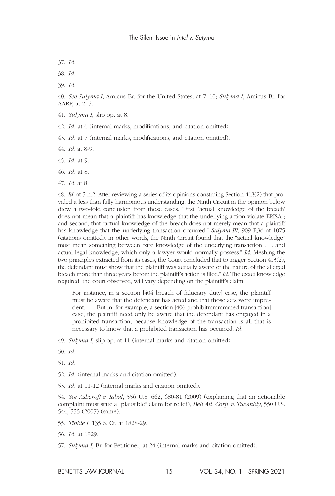37. *Id.*

38. *Id.*

39. *Id.*

40. *See Sulyma I*, Amicus Br. for the United States, at 7–10; *Sulyma I*, Amicus Br. for AARP, at 2–5.

41. *Sulyma I*, slip op. at 8.

42. *Id.* at 6 (internal marks, modifications, and citation omitted).

43. *Id.* at 7 (internal marks, modifications, and citation omitted).

44. *Id.* at 8-9.

45. *Id.* at 9.

46. *Id.* at 8.

47. *Id.* at 8.

48. *Id*. at 5 n.2. After reviewing a series of its opinions construing Section 413(2) that provided a less than fully harmonious understanding, the Ninth Circuit in the opinion below drew a two-fold conclusion from those cases: "First, 'actual knowledge of the breach' does not mean that a plaintiff has knowledge that the underlying action violate ERISA"; and second, that "actual knowledge of the breach does not merely mean that a plaintiff has knowledge that the underlying transaction occurred." *Sulyma III*, 909 F.3d at 1075 (citations omitted). In other words, the Ninth Circuit found that the "actual knowledge" must mean something between bare knowledge of the underlying transaction . . . and actual legal knowledge, which only a lawyer would normally possess." *Id.* Meshing the two principles extracted from its cases, the Court concluded that to trigger Section 413(2), the defendant must show that the plaintiff was actually aware of the nature of the alleged breach more than three years before the plaintiff's action is filed." *Id.* The exact knowledge required, the court observed, will vary depending on the plaintiff's claim:

For instance, in a section [404 breach of fiduciary duty] case, the plaintiff must be aware that the defendant has acted and that those acts were imprudent. . . . But in, for example, a section [406 prohibitmmmmmed transaction] case, the plaintiff need only be aware that the defendant has engaged in a prohibited transaction, because knowledge of the transaction is all that is necessary to know that a prohibited transaction has occurred. *Id.*

49. *Sulyma I*, slip op. at 11 (internal marks and citation omitted).

50. *Id.*

51. *Id.*

52. *Id.* (internal marks and citation omitted).

53. *Id.* at 11-12 (internal marks and citation omitted).

54. *See Ashcroft v. Iqbal*, 556 U.S. 662, 680-81 (2009) (explaining that an actionable complaint must state a "plausible" claim for relief); *Bell Atl. Corp. v. Twombly*, 550 U.S. 544, 555 (2007) (same).

55. *Tibble I*, 135 S. Ct. at 1828-29.

56. *Id.* at 1829.

57. *Sulyma I*, Br. for Petitioner, at 24 (internal marks and citation omitted).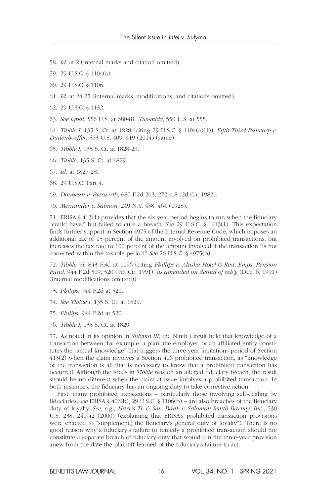- 58. *Id*. at 2 (internal marks and citation omitted).
- 59. 29 U.S.C. § 1104(a).
- 60. 29 U.S.C. § 1106.
- 61. *Id.* at 24-25 (internal marks, modifications, and citations omitted).
- 62. 29 U.S.C. § 1132.
- 63. *See Iqbal*, 556 U.S. at 680-81; *Twombly*, 550 U.S. at 555.

64. *Tibble I*, 135 S. Ct. at 1828 (citing 29 U.S.C. § 1104(a)(1)); *Fifth Third Bancorp v. Dudenhoeffer*, 573 U.S. 409, 419 (2014) (same).

- 65. *Tibble I*, 135 S. Ct. at 1828-29.
- 66. *Tibble*, 135 S. Ct. at 1829.
- 67. *Id.* at 1827-28.
- 68. 29 U.S.C. Part 4.
- 69. *Donovan v. Bierwirth*, 680 F.2d 263, 272 n.8 (2d Cir. 1982).
- 70. *Meinander v. Salmon*, 249 N.Y. 458, 464 (1928).

71. ERISA § 413(1) provides that the six-year period begins to run when the fiduciary "could have," but failed to cure a breach. *See* 29 U.S.C. § 1113(1). This expectation finds further support in Section 4975 of the Internal Revenue Code, which imposes an additional tax of 15 percent of the amount involved on prohibited transactions, but increases the tax rate to 100 percent of the amount involved if the transaction "is not corrected within the taxable period." *See* 26 U.S.C. § 4975(b).

72. *Tibble VI*, 843 F.3d at 1196 (citing *Phillips v. Alaska Hotel & Rest. Emps. Pension Fund*, 944 F.2d 509, 520 (9th Cir. 1991), *as amended on denial of reh'g* (Dec. 6, 1991) (internal modifications omitted)).

- 73. *Philips*, 944 F.2d at 520.
- 74. *See Tibble I*, 135 S. Ct. at 1829.
- 75. *Philips*, 944 F.2d at 520.
- 76. *Tibble I*, 135 S. Ct. at 1829.

77. As noted in its opinion in *Sulyma III*, the Ninth Circuit held that knowledge of a transaction between, for example, a plan, the employer, or an affiliated entity constitutes the "actual knowledge" that triggers the three-year limitations period of Section 413(2) when the claim involves a Section 406 prohibited transaction, as "knowledge of the transaction is all that is necessary to know that a prohibited transaction has occurred. Although the focus in *Tibble* was on an alleged fiduciary breach, the result should be no different when the claim at issue involves a prohibited transaction. In both instances, the fiduciary has an ongoing duty to take corrective action.

First, many prohibited transactions – particularly those involving self-dealing by fiduciaries, *see* ERISA § 406(b), 29 U.S.C. § 1106(b) – are also breaches of the fiduciary duty of loyalty. *See, e.g., Harris Tr. & Sav. Bank v. Salomon Smith Barney, Inc.*, 530 U.S. 238, 241-42 (2000) (explaining that ERISA's prohibited transaction provisions were enacted to "supplement[] the fiduciary's general duty of loyalty"). There is no good reason why a fiduciary's failure to remedy a prohibited transaction should not constitute a separate breach of fiduciary duty that would run the three-year provision anew from the date the plaintiff learned of the fiduciary's failure to act.